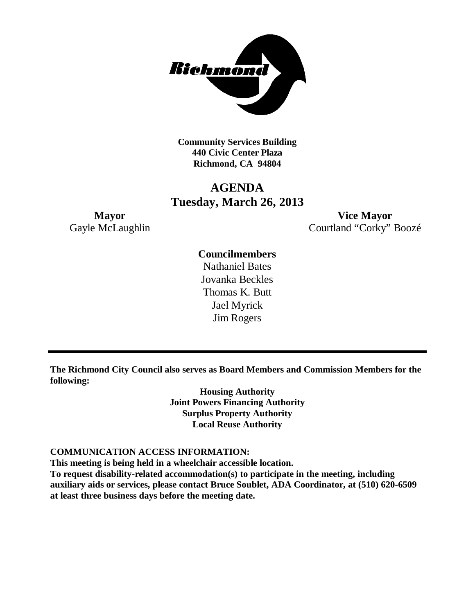

**Community Services Building 440 Civic Center Plaza Richmond, CA 94804**

## **AGENDA Tuesday, March 26, 2013**

**Mayor Vice Mayor** Gayle McLaughlin Courtland "Corky" Boozé

### **Councilmembers**

Nathaniel Bates Jovanka Beckles Thomas K. Butt Jael Myrick Jim Rogers

**The Richmond City Council also serves as Board Members and Commission Members for the following:**

> **Housing Authority Joint Powers Financing Authority Surplus Property Authority Local Reuse Authority**

#### **COMMUNICATION ACCESS INFORMATION:**

**This meeting is being held in a wheelchair accessible location.**

**To request disability-related accommodation(s) to participate in the meeting, including auxiliary aids or services, please contact Bruce Soublet, ADA Coordinator, at (510) 620-6509 at least three business days before the meeting date.**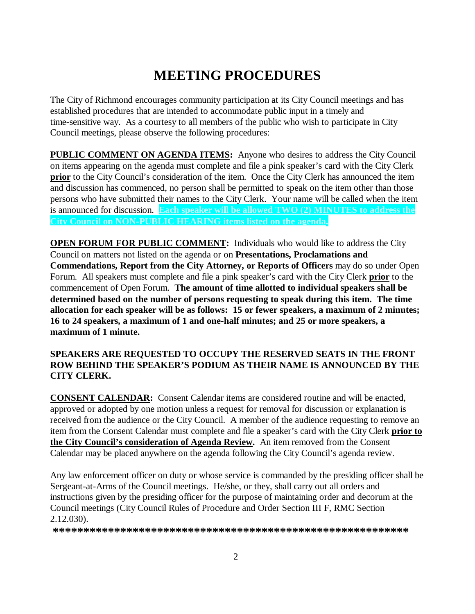# **MEETING PROCEDURES**

The City of Richmond encourages community participation at its City Council meetings and has established procedures that are intended to accommodate public input in a timely and time-sensitive way. As a courtesy to all members of the public who wish to participate in City Council meetings, please observe the following procedures:

**PUBLIC COMMENT ON AGENDA ITEMS:** Anyone who desires to address the City Council on items appearing on the agenda must complete and file a pink speaker's card with the City Clerk **prior** to the City Council's consideration of the item. Once the City Clerk has announced the item and discussion has commenced, no person shall be permitted to speak on the item other than those persons who have submitted their names to the City Clerk. Your name will be called when the item is announced for discussion. **Each speaker will be allowed TWO (2) MINUTES to address the City Council on NON-PUBLIC HEARING items listed on the agenda.**

**OPEN FORUM FOR PUBLIC COMMENT:** Individuals who would like to address the City Council on matters not listed on the agenda or on **Presentations, Proclamations and Commendations, Report from the City Attorney, or Reports of Officers** may do so under Open Forum. All speakers must complete and file a pink speaker's card with the City Clerk **prior** to the commencement of Open Forum. **The amount of time allotted to individual speakers shall be determined based on the number of persons requesting to speak during this item. The time allocation for each speaker will be as follows: 15 or fewer speakers, a maximum of 2 minutes; 16 to 24 speakers, a maximum of 1 and one-half minutes; and 25 or more speakers, a maximum of 1 minute.**

#### **SPEAKERS ARE REQUESTED TO OCCUPY THE RESERVED SEATS IN THE FRONT ROW BEHIND THE SPEAKER'S PODIUM AS THEIR NAME IS ANNOUNCED BY THE CITY CLERK.**

**CONSENT CALENDAR:** Consent Calendar items are considered routine and will be enacted, approved or adopted by one motion unless a request for removal for discussion or explanation is received from the audience or the City Council. A member of the audience requesting to remove an item from the Consent Calendar must complete and file a speaker's card with the City Clerk **prior to the City Council's consideration of Agenda Review.** An item removed from the Consent Calendar may be placed anywhere on the agenda following the City Council's agenda review.

Any law enforcement officer on duty or whose service is commanded by the presiding officer shall be Sergeant-at-Arms of the Council meetings. He/she, or they, shall carry out all orders and instructions given by the presiding officer for the purpose of maintaining order and decorum at the Council meetings (City Council Rules of Procedure and Order Section III F, RMC Section 2.12.030).

**\*\*\*\*\*\*\*\*\*\*\*\*\*\*\*\*\*\*\*\*\*\*\*\*\*\*\*\*\*\*\*\*\*\*\*\*\*\*\*\*\*\*\*\*\*\*\*\*\*\*\*\*\*\*\*\*\*\***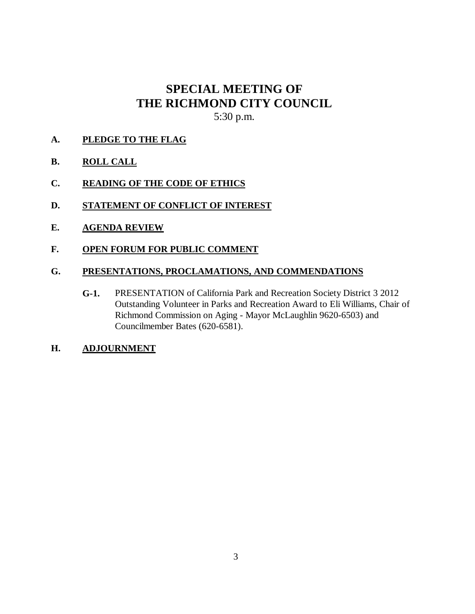# **SPECIAL MEETING OF THE RICHMOND CITY COUNCIL**

5:30 p.m.

**A. PLEDGE TO THE FLAG**

### **B. ROLL CALL**

- **C. READING OF THE CODE OF ETHICS**
- **D. STATEMENT OF CONFLICT OF INTEREST**
- **E. AGENDA REVIEW**
- **F. OPEN FORUM FOR PUBLIC COMMENT**

#### **G. PRESENTATIONS, PROCLAMATIONS, AND COMMENDATIONS**

- **G-1.** PRESENTATION of California Park and Recreation Society District 3 2012 Outstanding Volunteer in Parks and Recreation Award to Eli Williams, Chair of Richmond Commission on Aging - Mayor McLaughlin 9620-6503) and Councilmember Bates (620-6581).
- **H. ADJOURNMENT**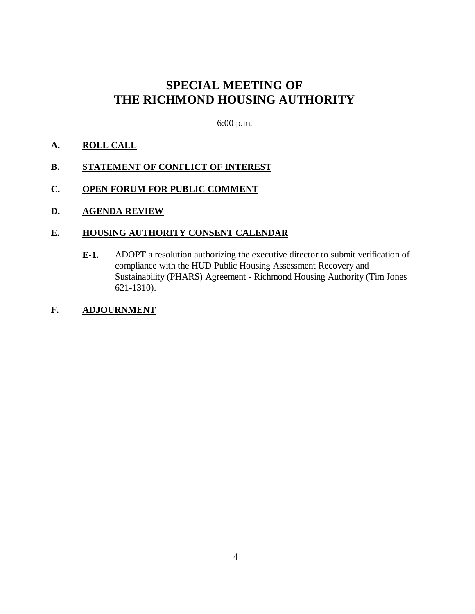## **SPECIAL MEETING OF THE RICHMOND HOUSING AUTHORITY**

6:00 p.m.

#### **A. ROLL CALL**

#### **B. STATEMENT OF CONFLICT OF INTEREST**

**C. OPEN FORUM FOR PUBLIC COMMENT**

#### **D. AGENDA REVIEW**

#### **E. HOUSING AUTHORITY CONSENT CALENDAR**

**E-1.** ADOPT a resolution authorizing the executive director to submit verification of compliance with the HUD Public Housing Assessment Recovery and Sustainability (PHARS) Agreement - Richmond Housing Authority (Tim Jones 621-1310).

#### **F. ADJOURNMENT**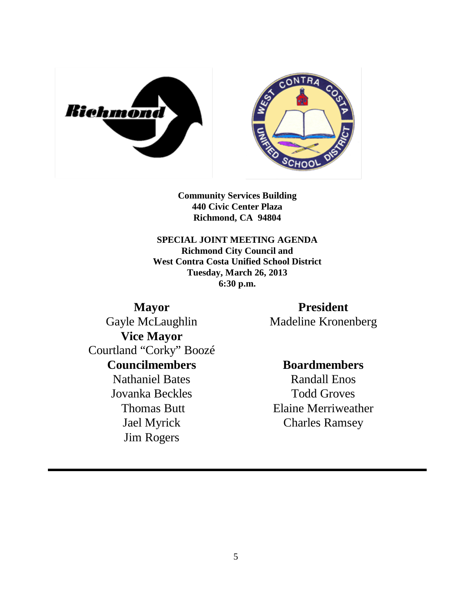



**Community Services Building 440 Civic Center Plaza Richmond, CA 94804**

**SPECIAL JOINT MEETING AGENDA Richmond City Council and West Contra Costa Unified School District Tuesday, March 26, 2013 6:30 p.m.**

**Mayor** Gayle McLaughlin **Vice Mayor** Courtland "Corky" Boozé **Councilmembers** Nathaniel Bates Jovanka Beckles Thomas Butt Jael Myrick Jim Rogers

**President** Madeline Kronenberg

**Boardmembers** Randall Enos Todd Groves Elaine Merriweather Charles Ramsey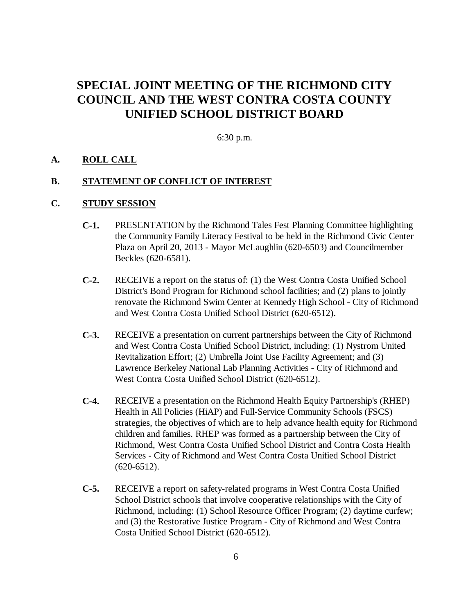## **SPECIAL JOINT MEETING OF THE RICHMOND CITY COUNCIL AND THE WEST CONTRA COSTA COUNTY UNIFIED SCHOOL DISTRICT BOARD**

6:30 p.m.

#### **A. ROLL CALL**

#### **B. STATEMENT OF CONFLICT OF INTEREST**

#### **C. STUDY SESSION**

- **C-1.** PRESENTATION by the Richmond Tales Fest Planning Committee highlighting the Community Family Literacy Festival to be held in the Richmond Civic Center Plaza on April 20, 2013 - Mayor McLaughlin (620-6503) and Councilmember Beckles (620-6581).
- **C-2.** RECEIVE a report on the status of: (1) the West Contra Costa Unified School District's Bond Program for Richmond school facilities; and (2) plans to jointly renovate the Richmond Swim Center at Kennedy High School - City of Richmond and West Contra Costa Unified School District (620-6512).
- **C-3.** RECEIVE a presentation on current partnerships between the City of Richmond and West Contra Costa Unified School District, including: (1) Nystrom United Revitalization Effort; (2) Umbrella Joint Use Facility Agreement; and (3) Lawrence Berkeley National Lab Planning Activities - City of Richmond and West Contra Costa Unified School District (620-6512).
- **C-4.** RECEIVE a presentation on the Richmond Health Equity Partnership's (RHEP) Health in All Policies (HiAP) and Full-Service Community Schools (FSCS) strategies, the objectives of which are to help advance health equity for Richmond children and families. RHEP was formed as a partnership between the City of Richmond, West Contra Costa Unified School District and Contra Costa Health Services - City of Richmond and West Contra Costa Unified School District  $(620 - 6512)$ .
- **C-5.** RECEIVE a report on safety-related programs in West Contra Costa Unified School District schools that involve cooperative relationships with the City of Richmond, including: (1) School Resource Officer Program; (2) daytime curfew; and (3) the Restorative Justice Program - City of Richmond and West Contra Costa Unified School District (620-6512).